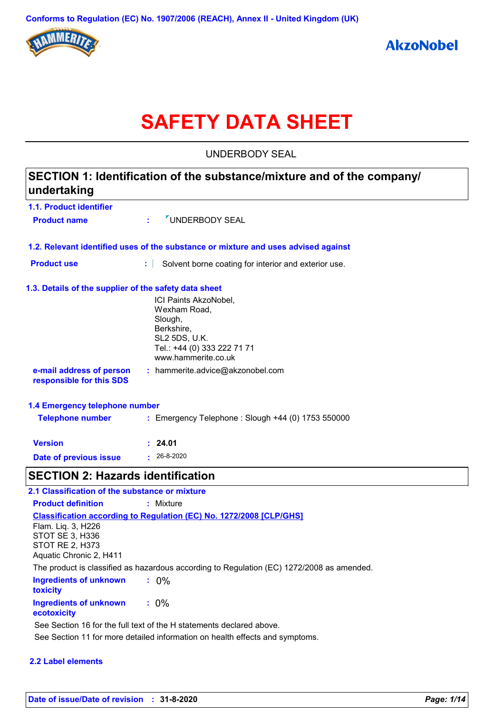

# **SAFETY DATA SHEET**

UNDERBODY SEAL

| SECTION 1: Identification of the substance/mixture and of the company/<br>undertaking |                                                                                                                                              |  |  |  |  |
|---------------------------------------------------------------------------------------|----------------------------------------------------------------------------------------------------------------------------------------------|--|--|--|--|
| 1.1. Product identifier                                                               |                                                                                                                                              |  |  |  |  |
| <b>Product name</b>                                                                   | UNDERBODY SEAL                                                                                                                               |  |  |  |  |
|                                                                                       | 1.2. Relevant identified uses of the substance or mixture and uses advised against                                                           |  |  |  |  |
| <b>Product use</b>                                                                    | ÷.<br>Solvent borne coating for interior and exterior use.                                                                                   |  |  |  |  |
| 1.3. Details of the supplier of the safety data sheet                                 |                                                                                                                                              |  |  |  |  |
|                                                                                       | ICI Paints AkzoNobel,<br>Wexham Road,<br>Slough,<br>Berkshire,<br><b>SL2 5DS, U.K.</b><br>Tel.: +44 (0) 333 222 71 71<br>www.hammerite.co.uk |  |  |  |  |
| e-mail address of person<br>responsible for this SDS                                  | : hammerite.advice@akzonobel.com                                                                                                             |  |  |  |  |
| 1.4 Emergency telephone number                                                        |                                                                                                                                              |  |  |  |  |
| <b>Telephone number</b>                                                               | : Emergency Telephone : Slough +44 (0) 1753 550000                                                                                           |  |  |  |  |
| <b>Version</b>                                                                        | : 24.01                                                                                                                                      |  |  |  |  |
| <b>Date of previous issue</b>                                                         | $-26-8-2020$                                                                                                                                 |  |  |  |  |
| <b>SECTION 2: Hazards identification</b>                                              |                                                                                                                                              |  |  |  |  |
| 2.1 Classification of the substance or mixture                                        |                                                                                                                                              |  |  |  |  |
| <b>Product definition</b>                                                             | : Mixture                                                                                                                                    |  |  |  |  |

**Ingredients of unknown toxicity :** 0% **Ingredients of unknown ecotoxicity :** 0% **Classification according to Regulation (EC) No. 1272/2008 [CLP/GHS]** Flam. Liq. 3, H226 STOT SE 3, H336 STOT RE 2, H373 Aquatic Chronic 2, H411 The product is classified as hazardous according to Regulation (EC) 1272/2008 as amended. See Section 11 for more detailed information on health effects and symptoms. See Section 16 for the full text of the H statements declared above.

### **2.2 Label elements**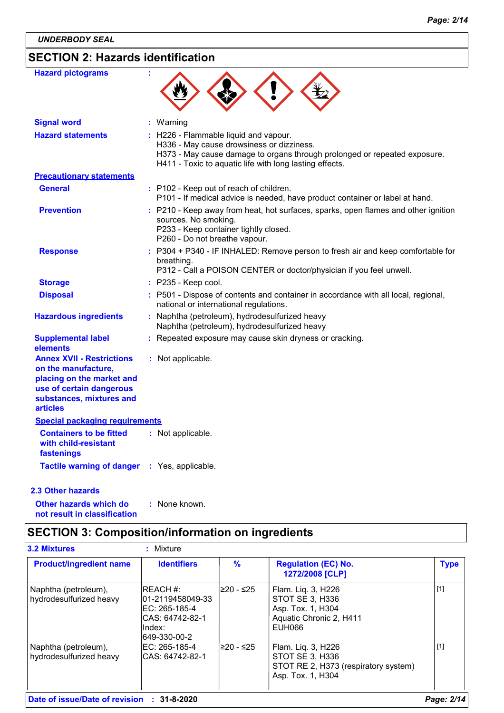# **SECTION 2: Hazards identification**

| <b>Hazard pictograms</b>                                                                                                                                        | ÷ |                                                                                                                                                                                                                            |
|-----------------------------------------------------------------------------------------------------------------------------------------------------------------|---|----------------------------------------------------------------------------------------------------------------------------------------------------------------------------------------------------------------------------|
| <b>Signal word</b>                                                                                                                                              |   | : Warning                                                                                                                                                                                                                  |
| <b>Hazard statements</b>                                                                                                                                        |   | : H226 - Flammable liquid and vapour.<br>H336 - May cause drowsiness or dizziness.<br>H373 - May cause damage to organs through prolonged or repeated exposure.<br>H411 - Toxic to aquatic life with long lasting effects. |
| <b>Precautionary statements</b>                                                                                                                                 |   |                                                                                                                                                                                                                            |
| <b>General</b>                                                                                                                                                  |   | : P102 - Keep out of reach of children.<br>P101 - If medical advice is needed, have product container or label at hand.                                                                                                    |
| <b>Prevention</b>                                                                                                                                               |   | : P210 - Keep away from heat, hot surfaces, sparks, open flames and other ignition<br>sources. No smoking.<br>P233 - Keep container tightly closed.<br>P260 - Do not breathe vapour.                                       |
| <b>Response</b>                                                                                                                                                 |   | : P304 + P340 - IF INHALED: Remove person to fresh air and keep comfortable for<br>breathing.<br>P312 - Call a POISON CENTER or doctor/physician if you feel unwell.                                                       |
| <b>Storage</b>                                                                                                                                                  |   | : P235 - Keep cool.                                                                                                                                                                                                        |
| <b>Disposal</b>                                                                                                                                                 |   | : P501 - Dispose of contents and container in accordance with all local, regional,<br>national or international regulations.                                                                                               |
| <b>Hazardous ingredients</b>                                                                                                                                    |   | : Naphtha (petroleum), hydrodesulfurized heavy<br>Naphtha (petroleum), hydrodesulfurized heavy                                                                                                                             |
| <b>Supplemental label</b><br>elements                                                                                                                           |   | : Repeated exposure may cause skin dryness or cracking.                                                                                                                                                                    |
| <b>Annex XVII - Restrictions</b><br>on the manufacture,<br>placing on the market and<br>use of certain dangerous<br>substances, mixtures and<br><b>articles</b> |   | : Not applicable.                                                                                                                                                                                                          |
| <b>Special packaging requirements</b>                                                                                                                           |   |                                                                                                                                                                                                                            |
| <b>Containers to be fitted</b><br>with child-resistant<br>fastenings                                                                                            |   | : Not applicable.                                                                                                                                                                                                          |
| <b>Tactile warning of danger</b>                                                                                                                                |   | : Yes, applicable.                                                                                                                                                                                                         |

### **2.3 Other hazards**

**Other hazards which do : not result in classification** : None known.

### **SECTION 3: Composition/information on ingredients**

| <b>3.2 Mixtures</b>                             | Mixture                                                                                       |            |                                                                                                    |             |
|-------------------------------------------------|-----------------------------------------------------------------------------------------------|------------|----------------------------------------------------------------------------------------------------|-------------|
| <b>Product/ingredient name</b>                  | <b>Identifiers</b>                                                                            | %          | <b>Regulation (EC) No.</b><br>1272/2008 [CLP]                                                      | <b>Type</b> |
| Naphtha (petroleum),<br>hydrodesulfurized heavy | IREACH #:<br>101-2119458049-33<br>EC: 265-185-4<br>CAS: 64742-82-1<br>lIndex:<br>649-330-00-2 | l≥20 - ≤25 | Flam. Liq. 3, H226<br>STOT SE 3, H336<br>Asp. Tox. 1, H304<br>Aquatic Chronic 2, H411<br>EUH066    | $[1]$       |
| Naphtha (petroleum),<br>hydrodesulfurized heavy | IEC: 265-185-4<br>ICAS: 64742-82-1                                                            | l≥20 - ≤25 | Flam. Liq. 3, H226<br>STOT SE 3, H336<br>STOT RE 2, H373 (respiratory system)<br>Asp. Tox. 1, H304 | $[1]$       |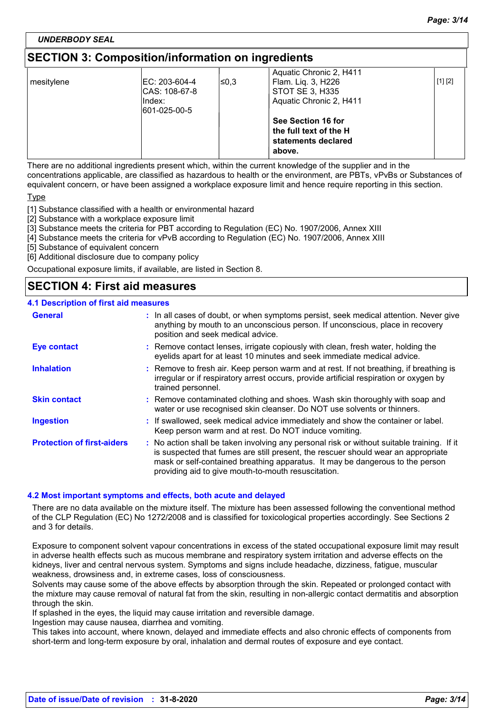### *UNDERBODY SEAL*

### **SECTION 3: Composition/information on ingredients**

|            |                |       | Aquatic Chronic 2, H411 |         |
|------------|----------------|-------|-------------------------|---------|
| mesitylene | IEC: 203-604-4 | l≤0.3 | Flam. Lig. 3, H226      | [1] [2] |
|            | CAS: 108-67-8  |       | STOT SE 3, H335         |         |
|            | lIndex:        |       | Aquatic Chronic 2, H411 |         |
|            | 601-025-00-5   |       |                         |         |
|            |                |       | See Section 16 for      |         |
|            |                |       | the full text of the H  |         |
|            |                |       | statements declared     |         |
|            |                |       | above.                  |         |
|            |                |       |                         |         |

There are no additional ingredients present which, within the current knowledge of the supplier and in the concentrations applicable, are classified as hazardous to health or the environment, are PBTs, vPvBs or Substances of equivalent concern, or have been assigned a workplace exposure limit and hence require reporting in this section.

Type

[1] Substance classified with a health or environmental hazard

[2] Substance with a workplace exposure limit

[3] Substance meets the criteria for PBT according to Regulation (EC) No. 1907/2006, Annex XIII

[4] Substance meets the criteria for vPvB according to Regulation (EC) No. 1907/2006, Annex XIII

[5] Substance of equivalent concern

[6] Additional disclosure due to company policy

Occupational exposure limits, if available, are listed in Section 8.

### **SECTION 4: First aid measures**

#### **4.1 Description of first aid measures**

| <b>General</b>                    | : In all cases of doubt, or when symptoms persist, seek medical attention. Never give<br>anything by mouth to an unconscious person. If unconscious, place in recovery<br>position and seek medical advice.                                                                                                             |
|-----------------------------------|-------------------------------------------------------------------------------------------------------------------------------------------------------------------------------------------------------------------------------------------------------------------------------------------------------------------------|
| <b>Eye contact</b>                | : Remove contact lenses, irrigate copiously with clean, fresh water, holding the<br>eyelids apart for at least 10 minutes and seek immediate medical advice.                                                                                                                                                            |
| <b>Inhalation</b>                 | : Remove to fresh air. Keep person warm and at rest. If not breathing, if breathing is<br>irregular or if respiratory arrest occurs, provide artificial respiration or oxygen by<br>trained personnel.                                                                                                                  |
| <b>Skin contact</b>               | : Remove contaminated clothing and shoes. Wash skin thoroughly with soap and<br>water or use recognised skin cleanser. Do NOT use solvents or thinners.                                                                                                                                                                 |
| <b>Ingestion</b>                  | : If swallowed, seek medical advice immediately and show the container or label.<br>Keep person warm and at rest. Do NOT induce vomiting.                                                                                                                                                                               |
| <b>Protection of first-aiders</b> | : No action shall be taken involving any personal risk or without suitable training. If it<br>is suspected that fumes are still present, the rescuer should wear an appropriate<br>mask or self-contained breathing apparatus. It may be dangerous to the person<br>providing aid to give mouth-to-mouth resuscitation. |

#### **4.2 Most important symptoms and effects, both acute and delayed**

There are no data available on the mixture itself. The mixture has been assessed following the conventional method of the CLP Regulation (EC) No 1272/2008 and is classified for toxicological properties accordingly. See Sections 2 and 3 for details.

Exposure to component solvent vapour concentrations in excess of the stated occupational exposure limit may result in adverse health effects such as mucous membrane and respiratory system irritation and adverse effects on the kidneys, liver and central nervous system. Symptoms and signs include headache, dizziness, fatigue, muscular weakness, drowsiness and, in extreme cases, loss of consciousness.

Solvents may cause some of the above effects by absorption through the skin. Repeated or prolonged contact with the mixture may cause removal of natural fat from the skin, resulting in non-allergic contact dermatitis and absorption through the skin.

If splashed in the eyes, the liquid may cause irritation and reversible damage.

Ingestion may cause nausea, diarrhea and vomiting.

This takes into account, where known, delayed and immediate effects and also chronic effects of components from short-term and long-term exposure by oral, inhalation and dermal routes of exposure and eye contact.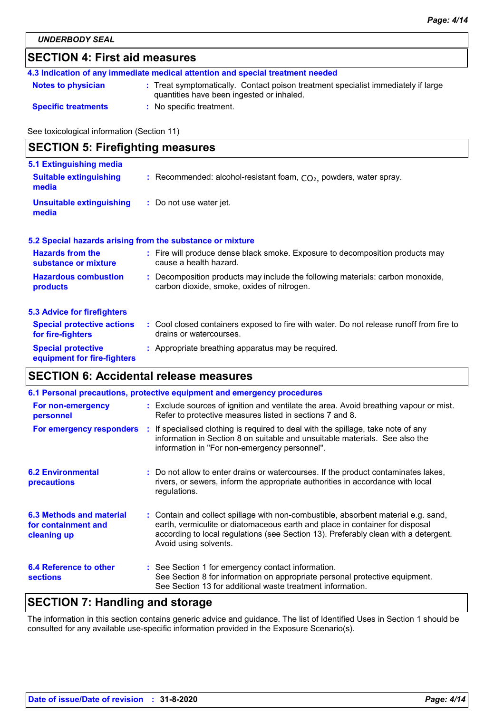| <b>SECTION 4: First aid measures</b>       |                                                                                                                                |  |  |
|--------------------------------------------|--------------------------------------------------------------------------------------------------------------------------------|--|--|
|                                            | 4.3 Indication of any immediate medical attention and special treatment needed                                                 |  |  |
| <b>Notes to physician</b>                  | : Treat symptomatically. Contact poison treatment specialist immediately if large<br>quantities have been ingested or inhaled. |  |  |
| <b>Specific treatments</b>                 | : No specific treatment.                                                                                                       |  |  |
| See toxicological information (Section 11) |                                                                                                                                |  |  |
| <b>SECTION 5: Firefighting measures</b>    |                                                                                                                                |  |  |
| 5.1 Extinguishing media                    |                                                                                                                                |  |  |
| <b>Suitable extinguishing</b><br>media     | : Recommended: alcohol-resistant foam, $CO2$ , powders, water spray.                                                           |  |  |

**:** Do not use water jet. **Unsuitable extinguishing media**

### **5.2 Special hazards arising from the substance or mixture**

| <b>Hazards from the</b><br>substance or mixture        | : Fire will produce dense black smoke. Exposure to decomposition products may<br>cause a health hazard.                      |
|--------------------------------------------------------|------------------------------------------------------------------------------------------------------------------------------|
| <b>Hazardous combustion</b><br><b>products</b>         | : Decomposition products may include the following materials: carbon monoxide,<br>carbon dioxide, smoke, oxides of nitrogen. |
| <b>5.3 Advice for firefighters</b>                     |                                                                                                                              |
| <b>Special protective actions</b><br>for fire-fighters | : Cool closed containers exposed to fire with water. Do not release runoff from fire to<br>drains or watercourses.           |
| <b>Special protective</b>                              | : Appropriate breathing apparatus may be required.                                                                           |

### **SECTION 6: Accidental release measures**

**equipment for fire-fighters**

| 6.1 Personal precautions, protective equipment and emergency procedures |  |                                                                                                                                                                                                                                                                                    |  |  |
|-------------------------------------------------------------------------|--|------------------------------------------------------------------------------------------------------------------------------------------------------------------------------------------------------------------------------------------------------------------------------------|--|--|
| For non-emergency<br>personnel                                          |  | : Exclude sources of ignition and ventilate the area. Avoid breathing vapour or mist.<br>Refer to protective measures listed in sections 7 and 8.                                                                                                                                  |  |  |
| For emergency responders                                                |  | : If specialised clothing is required to deal with the spillage, take note of any<br>information in Section 8 on suitable and unsuitable materials. See also the<br>information in "For non-emergency personnel".                                                                  |  |  |
| <b>6.2 Environmental</b><br>precautions                                 |  | : Do not allow to enter drains or watercourses. If the product contaminates lakes,<br>rivers, or sewers, inform the appropriate authorities in accordance with local<br>regulations.                                                                                               |  |  |
| 6.3 Methods and material<br>for containment and<br>cleaning up          |  | : Contain and collect spillage with non-combustible, absorbent material e.g. sand,<br>earth, vermiculite or diatomaceous earth and place in container for disposal<br>according to local regulations (see Section 13). Preferably clean with a detergent.<br>Avoid using solvents. |  |  |
| 6.4 Reference to other<br><b>sections</b>                               |  | : See Section 1 for emergency contact information.<br>See Section 8 for information on appropriate personal protective equipment.<br>See Section 13 for additional waste treatment information.                                                                                    |  |  |

### **SECTION 7: Handling and storage**

The information in this section contains generic advice and guidance. The list of Identified Uses in Section 1 should be consulted for any available use-specific information provided in the Exposure Scenario(s).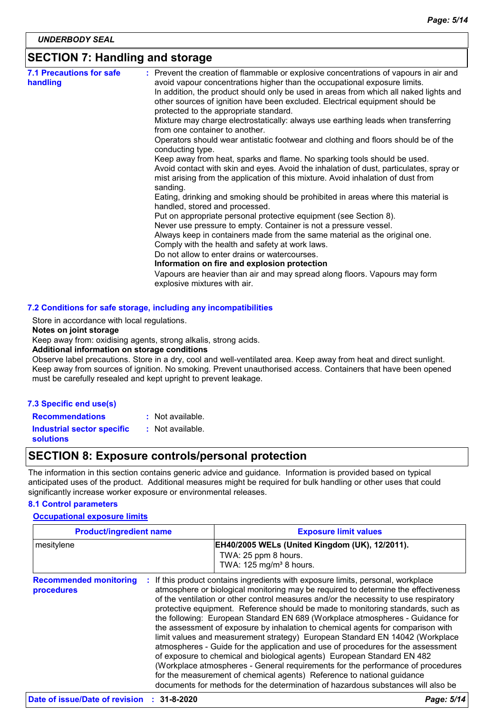### **SECTION 7: Handling and storage**

| <b>7.1 Precautions for safe</b><br>handling | : Prevent the creation of flammable or explosive concentrations of vapours in air and<br>avoid vapour concentrations higher than the occupational exposure limits.                                              |
|---------------------------------------------|-----------------------------------------------------------------------------------------------------------------------------------------------------------------------------------------------------------------|
|                                             | In addition, the product should only be used in areas from which all naked lights and<br>other sources of ignition have been excluded. Electrical equipment should be<br>protected to the appropriate standard. |
|                                             | Mixture may charge electrostatically: always use earthing leads when transferring<br>from one container to another.                                                                                             |
|                                             | Operators should wear antistatic footwear and clothing and floors should be of the<br>conducting type.                                                                                                          |
|                                             | Keep away from heat, sparks and flame. No sparking tools should be used.                                                                                                                                        |
|                                             | Avoid contact with skin and eyes. Avoid the inhalation of dust, particulates, spray or<br>mist arising from the application of this mixture. Avoid inhalation of dust from<br>sanding.                          |
|                                             | Eating, drinking and smoking should be prohibited in areas where this material is<br>handled, stored and processed.                                                                                             |
|                                             | Put on appropriate personal protective equipment (see Section 8).                                                                                                                                               |
|                                             | Never use pressure to empty. Container is not a pressure vessel.                                                                                                                                                |
|                                             | Always keep in containers made from the same material as the original one.                                                                                                                                      |
|                                             | Comply with the health and safety at work laws.                                                                                                                                                                 |
|                                             | Do not allow to enter drains or watercourses.                                                                                                                                                                   |
|                                             | Information on fire and explosion protection                                                                                                                                                                    |
|                                             | Vapours are heavier than air and may spread along floors. Vapours may form<br>explosive mixtures with air.                                                                                                      |

#### Store in accordance with local regulations.

#### **Notes on joint storage**

Keep away from: oxidising agents, strong alkalis, strong acids.

#### **Additional information on storage conditions**

Observe label precautions. Store in a dry, cool and well-ventilated area. Keep away from heat and direct sunlight. Keep away from sources of ignition. No smoking. Prevent unauthorised access. Containers that have been opened must be carefully resealed and kept upright to prevent leakage.

#### **7.3 Specific end use(s)**

**Recommendations :** : Not available.

**Industrial sector specific : solutions** : Not available.

### **SECTION 8: Exposure controls/personal protection**

The information in this section contains generic advice and guidance. Information is provided based on typical anticipated uses of the product. Additional measures might be required for bulk handling or other uses that could significantly increase worker exposure or environmental releases.

### **8.1 Control parameters**

#### **Occupational exposure limits**

| <b>Product/ingredient name</b>              |  | <b>Exposure limit values</b>                                                                                                                                                                                                                                                                                                                                                                                                                                                                                                                                                                                                                                                                                                                                                                                                                                                                                                                                                                                        |
|---------------------------------------------|--|---------------------------------------------------------------------------------------------------------------------------------------------------------------------------------------------------------------------------------------------------------------------------------------------------------------------------------------------------------------------------------------------------------------------------------------------------------------------------------------------------------------------------------------------------------------------------------------------------------------------------------------------------------------------------------------------------------------------------------------------------------------------------------------------------------------------------------------------------------------------------------------------------------------------------------------------------------------------------------------------------------------------|
| mesitylene                                  |  | EH40/2005 WELs (United Kingdom (UK), 12/2011).<br>TWA: 25 ppm 8 hours.<br>TWA: 125 mg/m <sup>3</sup> 8 hours.                                                                                                                                                                                                                                                                                                                                                                                                                                                                                                                                                                                                                                                                                                                                                                                                                                                                                                       |
| <b>Recommended monitoring</b><br>procedures |  | If this product contains ingredients with exposure limits, personal, workplace<br>atmosphere or biological monitoring may be required to determine the effectiveness<br>of the ventilation or other control measures and/or the necessity to use respiratory<br>protective equipment. Reference should be made to monitoring standards, such as<br>the following: European Standard EN 689 (Workplace atmospheres - Guidance for<br>the assessment of exposure by inhalation to chemical agents for comparison with<br>limit values and measurement strategy) European Standard EN 14042 (Workplace<br>atmospheres - Guide for the application and use of procedures for the assessment<br>of exposure to chemical and biological agents) European Standard EN 482<br>(Workplace atmospheres - General requirements for the performance of procedures<br>for the measurement of chemical agents) Reference to national guidance<br>documents for methods for the determination of hazardous substances will also be |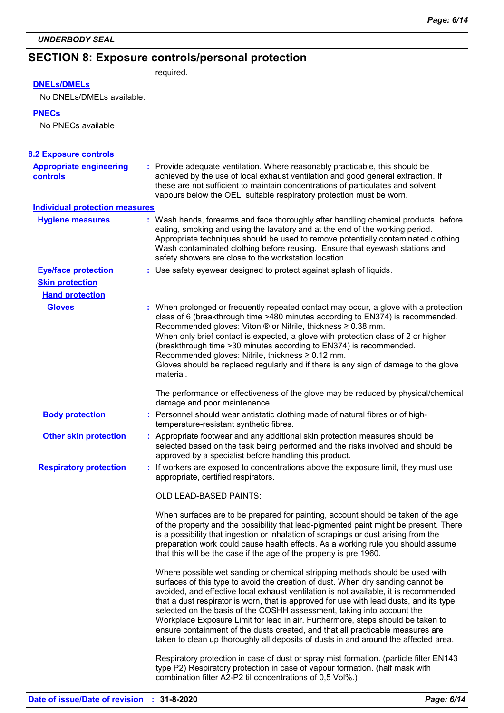# **SECTION 8: Exposure controls/personal protection**

required.

### **DNELs/DMELs**

No DNELs/DMELs available.

#### **PNECs**

No PNECs available

| <b>8.2 Exposure controls</b>                      |                                                                                                                                                                                                                                                                                                                                                                                                                                                                                                                                                                                                                                                                                         |  |
|---------------------------------------------------|-----------------------------------------------------------------------------------------------------------------------------------------------------------------------------------------------------------------------------------------------------------------------------------------------------------------------------------------------------------------------------------------------------------------------------------------------------------------------------------------------------------------------------------------------------------------------------------------------------------------------------------------------------------------------------------------|--|
| <b>Appropriate engineering</b><br><b>controls</b> | : Provide adequate ventilation. Where reasonably practicable, this should be<br>achieved by the use of local exhaust ventilation and good general extraction. If<br>these are not sufficient to maintain concentrations of particulates and solvent<br>vapours below the OEL, suitable respiratory protection must be worn.                                                                                                                                                                                                                                                                                                                                                             |  |
| <b>Individual protection measures</b>             |                                                                                                                                                                                                                                                                                                                                                                                                                                                                                                                                                                                                                                                                                         |  |
| <b>Hygiene measures</b>                           | : Wash hands, forearms and face thoroughly after handling chemical products, before<br>eating, smoking and using the lavatory and at the end of the working period.<br>Appropriate techniques should be used to remove potentially contaminated clothing.<br>Wash contaminated clothing before reusing. Ensure that eyewash stations and<br>safety showers are close to the workstation location.                                                                                                                                                                                                                                                                                       |  |
| <b>Eye/face protection</b>                        | : Use safety eyewear designed to protect against splash of liquids.                                                                                                                                                                                                                                                                                                                                                                                                                                                                                                                                                                                                                     |  |
| <b>Skin protection</b>                            |                                                                                                                                                                                                                                                                                                                                                                                                                                                                                                                                                                                                                                                                                         |  |
| <b>Hand protection</b>                            |                                                                                                                                                                                                                                                                                                                                                                                                                                                                                                                                                                                                                                                                                         |  |
| <b>Gloves</b>                                     | : When prolonged or frequently repeated contact may occur, a glove with a protection<br>class of 6 (breakthrough time >480 minutes according to EN374) is recommended.<br>Recommended gloves: Viton $\circledR$ or Nitrile, thickness $\geq 0.38$ mm.<br>When only brief contact is expected, a glove with protection class of 2 or higher<br>(breakthrough time > 30 minutes according to EN374) is recommended.<br>Recommended gloves: Nitrile, thickness ≥ 0.12 mm.<br>Gloves should be replaced regularly and if there is any sign of damage to the glove<br>material.                                                                                                              |  |
|                                                   | The performance or effectiveness of the glove may be reduced by physical/chemical<br>damage and poor maintenance.                                                                                                                                                                                                                                                                                                                                                                                                                                                                                                                                                                       |  |
| <b>Body protection</b>                            | : Personnel should wear antistatic clothing made of natural fibres or of high-<br>temperature-resistant synthetic fibres.                                                                                                                                                                                                                                                                                                                                                                                                                                                                                                                                                               |  |
| <b>Other skin protection</b>                      | : Appropriate footwear and any additional skin protection measures should be<br>selected based on the task being performed and the risks involved and should be<br>approved by a specialist before handling this product.                                                                                                                                                                                                                                                                                                                                                                                                                                                               |  |
| <b>Respiratory protection</b>                     | If workers are exposed to concentrations above the exposure limit, they must use<br>appropriate, certified respirators.                                                                                                                                                                                                                                                                                                                                                                                                                                                                                                                                                                 |  |
|                                                   | <b>OLD LEAD-BASED PAINTS:</b>                                                                                                                                                                                                                                                                                                                                                                                                                                                                                                                                                                                                                                                           |  |
|                                                   | When surfaces are to be prepared for painting, account should be taken of the age<br>of the property and the possibility that lead-pigmented paint might be present. There<br>is a possibility that ingestion or inhalation of scrapings or dust arising from the<br>preparation work could cause health effects. As a working rule you should assume<br>that this will be the case if the age of the property is pre 1960.                                                                                                                                                                                                                                                             |  |
|                                                   | Where possible wet sanding or chemical stripping methods should be used with<br>surfaces of this type to avoid the creation of dust. When dry sanding cannot be<br>avoided, and effective local exhaust ventilation is not available, it is recommended<br>that a dust respirator is worn, that is approved for use with lead dusts, and its type<br>selected on the basis of the COSHH assessment, taking into account the<br>Workplace Exposure Limit for lead in air. Furthermore, steps should be taken to<br>ensure containment of the dusts created, and that all practicable measures are<br>taken to clean up thoroughly all deposits of dusts in and around the affected area. |  |
|                                                   | Respiratory protection in case of dust or spray mist formation. (particle filter EN143<br>type P2) Respiratory protection in case of vapour formation. (half mask with<br>combination filter A2-P2 til concentrations of 0,5 Vol%.)                                                                                                                                                                                                                                                                                                                                                                                                                                                     |  |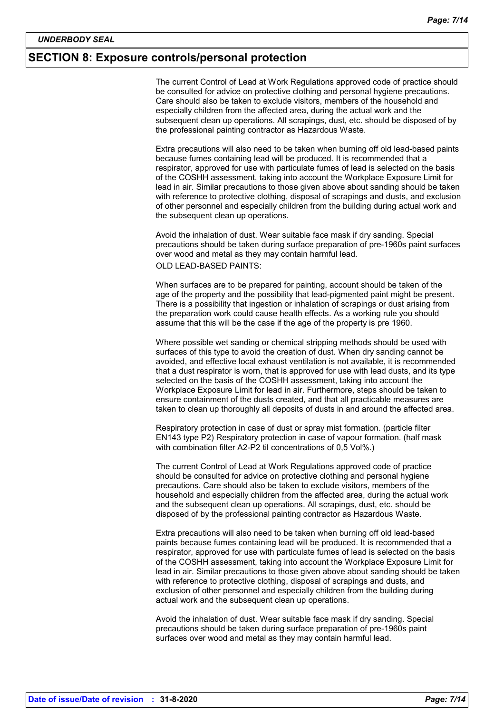### **SECTION 8: Exposure controls/personal protection**

The current Control of Lead at Work Regulations approved code of practice should be consulted for advice on protective clothing and personal hygiene precautions. Care should also be taken to exclude visitors, members of the household and especially children from the affected area, during the actual work and the subsequent clean up operations. All scrapings, dust, etc. should be disposed of by the professional painting contractor as Hazardous Waste.

Extra precautions will also need to be taken when burning off old lead-based paints because fumes containing lead will be produced. It is recommended that a respirator, approved for use with particulate fumes of lead is selected on the basis of the COSHH assessment, taking into account the Workplace Exposure Limit for lead in air. Similar precautions to those given above about sanding should be taken with reference to protective clothing, disposal of scrapings and dusts, and exclusion of other personnel and especially children from the building during actual work and the subsequent clean up operations.

Avoid the inhalation of dust. Wear suitable face mask if dry sanding. Special precautions should be taken during surface preparation of pre-1960s paint surfaces over wood and metal as they may contain harmful lead. OLD LEAD-BASED PAINTS:

When surfaces are to be prepared for painting, account should be taken of the age of the property and the possibility that lead-pigmented paint might be present. There is a possibility that ingestion or inhalation of scrapings or dust arising from the preparation work could cause health effects. As a working rule you should assume that this will be the case if the age of the property is pre 1960.

Where possible wet sanding or chemical stripping methods should be used with surfaces of this type to avoid the creation of dust. When dry sanding cannot be avoided, and effective local exhaust ventilation is not available, it is recommended that a dust respirator is worn, that is approved for use with lead dusts, and its type selected on the basis of the COSHH assessment, taking into account the Workplace Exposure Limit for lead in air. Furthermore, steps should be taken to ensure containment of the dusts created, and that all practicable measures are taken to clean up thoroughly all deposits of dusts in and around the affected area.

Respiratory protection in case of dust or spray mist formation. (particle filter EN143 type P2) Respiratory protection in case of vapour formation. (half mask with combination filter A2-P2 til concentrations of 0,5 Vol%.)

The current Control of Lead at Work Regulations approved code of practice should be consulted for advice on protective clothing and personal hygiene precautions. Care should also be taken to exclude visitors, members of the household and especially children from the affected area, during the actual work and the subsequent clean up operations. All scrapings, dust, etc. should be disposed of by the professional painting contractor as Hazardous Waste.

Extra precautions will also need to be taken when burning off old lead-based paints because fumes containing lead will be produced. It is recommended that a respirator, approved for use with particulate fumes of lead is selected on the basis of the COSHH assessment, taking into account the Workplace Exposure Limit for lead in air. Similar precautions to those given above about sanding should be taken with reference to protective clothing, disposal of scrapings and dusts, and exclusion of other personnel and especially children from the building during actual work and the subsequent clean up operations.

Avoid the inhalation of dust. Wear suitable face mask if dry sanding. Special precautions should be taken during surface preparation of pre-1960s paint surfaces over wood and metal as they may contain harmful lead.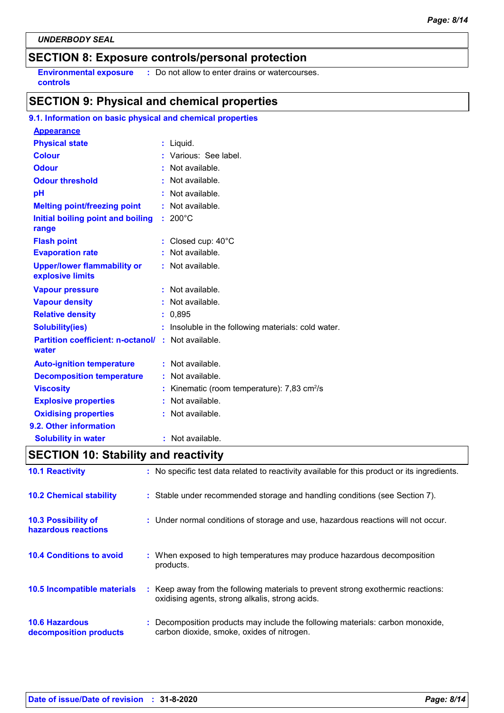### **SECTION 8: Exposure controls/personal protection**

**Environmental exposure : Do not allow to enter drains or watercourses. controls**

### **SECTION 9: Physical and chemical properties**

### **9.1. Information on basic physical and chemical properties**

| <b>Appearance</b>                                                  |                                                       |
|--------------------------------------------------------------------|-------------------------------------------------------|
| <b>Physical state</b>                                              | : Liquid.                                             |
| <b>Colour</b>                                                      | : Various: See label.                                 |
| <b>Odour</b>                                                       | : Not available.                                      |
| <b>Odour threshold</b>                                             | Not available.                                        |
| pH                                                                 | Not available.                                        |
| <b>Melting point/freezing point</b>                                | Not available.                                        |
| Initial boiling point and boiling<br>range                         | $: 200^{\circ}$ C                                     |
| <b>Flash point</b>                                                 | : Closed cup: 40°C                                    |
| <b>Evaporation rate</b>                                            | : Not available.                                      |
| <b>Upper/lower flammability or</b><br>explosive limits             | : Not available.                                      |
| <b>Vapour pressure</b>                                             | $:$ Not available.                                    |
| <b>Vapour density</b>                                              | : Not available.                                      |
| <b>Relative density</b>                                            | : 0.895                                               |
| <b>Solubility(ies)</b>                                             | : Insoluble in the following materials: cold water.   |
| <b>Partition coefficient: n-octanol/ : Not available.</b><br>water |                                                       |
| <b>Auto-ignition temperature</b>                                   | : Not available.                                      |
| <b>Decomposition temperature</b>                                   | Not available.                                        |
| <b>Viscosity</b>                                                   | Kinematic (room temperature): 7,83 cm <sup>2</sup> /s |
| <b>Explosive properties</b>                                        | Not available.                                        |
| <b>Oxidising properties</b>                                        | Not available.                                        |
| 9.2. Other information                                             |                                                       |
| <b>Solubility in water</b>                                         | : Not available.                                      |

## **SECTION 10: Stability and reactivity**

| <b>10.1 Reactivity</b>                            | : No specific test data related to reactivity available for this product or its ingredients.                                        |
|---------------------------------------------------|-------------------------------------------------------------------------------------------------------------------------------------|
| <b>10.2 Chemical stability</b>                    | : Stable under recommended storage and handling conditions (see Section 7).                                                         |
| <b>10.3 Possibility of</b><br>hazardous reactions | : Under normal conditions of storage and use, hazardous reactions will not occur.                                                   |
| <b>10.4 Conditions to avoid</b>                   | : When exposed to high temperatures may produce hazardous decomposition<br>products.                                                |
| 10.5 Incompatible materials                       | : Keep away from the following materials to prevent strong exothermic reactions:<br>oxidising agents, strong alkalis, strong acids. |
| <b>10.6 Hazardous</b><br>decomposition products   | : Decomposition products may include the following materials: carbon monoxide,<br>carbon dioxide, smoke, oxides of nitrogen.        |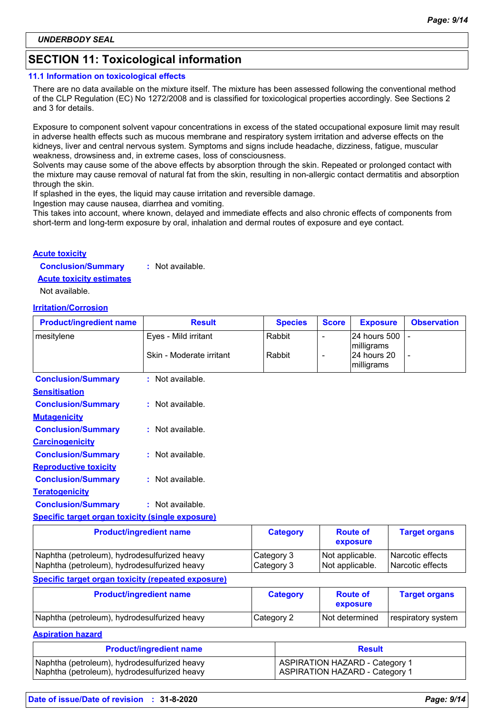### **SECTION 11: Toxicological information**

#### **11.1 Information on toxicological effects**

There are no data available on the mixture itself. The mixture has been assessed following the conventional method of the CLP Regulation (EC) No 1272/2008 and is classified for toxicological properties accordingly. See Sections 2 and 3 for details.

Exposure to component solvent vapour concentrations in excess of the stated occupational exposure limit may result in adverse health effects such as mucous membrane and respiratory system irritation and adverse effects on the kidneys, liver and central nervous system. Symptoms and signs include headache, dizziness, fatigue, muscular weakness, drowsiness and, in extreme cases, loss of consciousness.

Solvents may cause some of the above effects by absorption through the skin. Repeated or prolonged contact with the mixture may cause removal of natural fat from the skin, resulting in non-allergic contact dermatitis and absorption through the skin.

If splashed in the eyes, the liquid may cause irritation and reversible damage.

Ingestion may cause nausea, diarrhea and vomiting.

This takes into account, where known, delayed and immediate effects and also chronic effects of components from short-term and long-term exposure by oral, inhalation and dermal routes of exposure and eye contact.

#### **Acute toxicity**

**Conclusion/Summary :** Not available.

**Acute toxicity estimates**

Not available.

#### **Irritation/Corrosion**

| <b>Product/ingredient name</b>                          | <b>Result</b>                  | <b>Species</b>  | <b>Score</b> | <b>Exposure</b>                         | <b>Observation</b>   |
|---------------------------------------------------------|--------------------------------|-----------------|--------------|-----------------------------------------|----------------------|
| mesitylene                                              | Eyes - Mild irritant           | Rabbit          |              | 24 hours 500                            |                      |
|                                                         | Skin - Moderate irritant       | Rabbit          | -            | milligrams<br>24 hours 20<br>milligrams |                      |
| <b>Conclusion/Summary</b>                               | : Not available.               |                 |              |                                         |                      |
| <b>Sensitisation</b>                                    |                                |                 |              |                                         |                      |
| <b>Conclusion/Summary</b>                               | : Not available.               |                 |              |                                         |                      |
| <b>Mutagenicity</b>                                     |                                |                 |              |                                         |                      |
| <b>Conclusion/Summary</b>                               | : Not available.               |                 |              |                                         |                      |
| <b>Carcinogenicity</b>                                  |                                |                 |              |                                         |                      |
| <b>Conclusion/Summary</b>                               | : Not available.               |                 |              |                                         |                      |
| <b>Reproductive toxicity</b>                            |                                |                 |              |                                         |                      |
| <b>Conclusion/Summary</b>                               | : Not available.               |                 |              |                                         |                      |
| <b>Teratogenicity</b>                                   |                                |                 |              |                                         |                      |
| <b>Conclusion/Summary</b>                               | : Not available.               |                 |              |                                         |                      |
| <b>Specific target organ toxicity (single exposure)</b> |                                |                 |              |                                         |                      |
|                                                         | <b>Product/ingredient name</b> | <b>Category</b> |              | <b>Route of</b><br>exposure             | <b>Target organs</b> |
| Naphtha (petroleum), hydrodesulfurized heavy            |                                | Category 3      |              | Not applicable.                         | Narcotic effects     |

#### **Specific target organ toxicity (repeated exposure)**

| <b>Product/ingredient name</b>               | <b>Category</b> | <b>Route of</b><br>exposure | <b>Target organs</b> |
|----------------------------------------------|-----------------|-----------------------------|----------------------|
| Naphtha (petroleum), hydrodesulfurized heavy | Category 2      | Not determined              | respiratory system   |

Naphtha (petroleum), hydrodesulfurized heavy Category 3 Not applicable. Narcotic effects

#### **Aspiration hazard**

| <b>Product/ingredient name</b>               | <b>Result</b>                         |  |
|----------------------------------------------|---------------------------------------|--|
| Naphtha (petroleum), hydrodesulfurized heavy | <b>ASPIRATION HAZARD - Category 1</b> |  |
| Naphtha (petroleum), hydrodesulfurized heavy | <b>ASPIRATION HAZARD - Category 1</b> |  |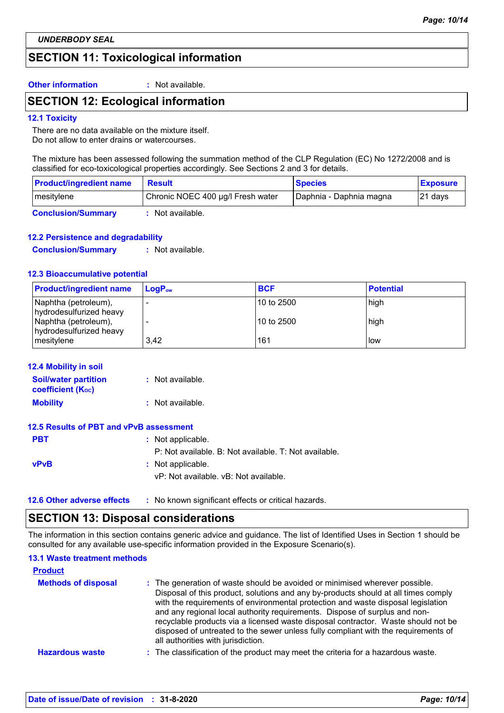### **SECTION 11: Toxicological information**

**Other information :** Not available.

### **SECTION 12: Ecological information**

### **12.1 Toxicity**

There are no data available on the mixture itself. Do not allow to enter drains or watercourses.

The mixture has been assessed following the summation method of the CLP Regulation (EC) No 1272/2008 and is classified for eco-toxicological properties accordingly. See Sections 2 and 3 for details.

| <b>Product/ingredient name</b> | <b>Result</b>                     | <b>Species</b>          | <b>Exposure</b> |
|--------------------------------|-----------------------------------|-------------------------|-----------------|
| mesitylene                     | Chronic NOEC 400 µg/l Fresh water | Daphnia - Daphnia magna | $ 21$ days      |
| <b>Conclusion/Summary</b>      | Not available.                    |                         |                 |

### **12.2 Persistence and degradability**

**Conclusion/Summary :** Not available.

#### **12.3 Bioaccumulative potential**

| <b>Product/ingredient name</b>                  | $LogPow$ | <b>BCF</b>   | <b>Potential</b> |
|-------------------------------------------------|----------|--------------|------------------|
| Naphtha (petroleum),<br>hydrodesulfurized heavy |          | 10 to 2500   | high             |
| Naphtha (petroleum),<br>hydrodesulfurized heavy |          | l 10 to 2500 | high             |
| mesitylene                                      | 3.42     | 161          | low              |

#### **12.4 Mobility in soil**

| <b>Soil/water partition</b> | : Not available. |
|-----------------------------|------------------|
| <b>coefficient (Koc)</b>    |                  |
| <b>Mobility</b>             | : Not available. |

### **12.5 Results of PBT and vPvB assessment**

| <b>PBT</b>  | : Not applicable.                                     |
|-------------|-------------------------------------------------------|
|             | P: Not available. B: Not available. T: Not available. |
| <b>vPvB</b> | : Not applicable.                                     |
|             | vP: Not available. vB: Not available.                 |
|             |                                                       |

**12.6 Other adverse effects** : No known significant effects or critical hazards.

### **SECTION 13: Disposal considerations**

The information in this section contains generic advice and guidance. The list of Identified Uses in Section 1 should be consulted for any available use-specific information provided in the Exposure Scenario(s).

### **13.1 Waste treatment methods**

| <b>Product</b>             |                                                                                                                                                                                                                                                                                                                                                                                                                                                                                                                                                      |
|----------------------------|------------------------------------------------------------------------------------------------------------------------------------------------------------------------------------------------------------------------------------------------------------------------------------------------------------------------------------------------------------------------------------------------------------------------------------------------------------------------------------------------------------------------------------------------------|
| <b>Methods of disposal</b> | : The generation of waste should be avoided or minimised wherever possible.<br>Disposal of this product, solutions and any by-products should at all times comply<br>with the requirements of environmental protection and waste disposal legislation<br>and any regional local authority requirements. Dispose of surplus and non-<br>recyclable products via a licensed waste disposal contractor. Waste should not be<br>disposed of untreated to the sewer unless fully compliant with the requirements of<br>all authorities with jurisdiction. |
| <b>Hazardous waste</b>     | : The classification of the product may meet the criteria for a hazardous waste.                                                                                                                                                                                                                                                                                                                                                                                                                                                                     |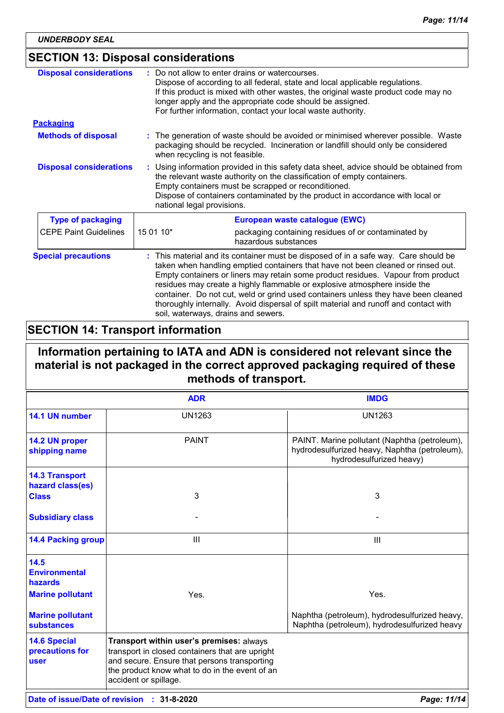### **SECTION 13: Disposal considerations**

| <b>Disposal considerations</b> | Do not allow to enter drains or watercourses.<br>Dispose of according to all federal, state and local applicable regulations.<br>If this product is mixed with other wastes, the original waste product code may no<br>longer apply and the appropriate code should be assigned.<br>For further information, contact your local waste authority.                                                                                                                                                                                                            |  |
|--------------------------------|-------------------------------------------------------------------------------------------------------------------------------------------------------------------------------------------------------------------------------------------------------------------------------------------------------------------------------------------------------------------------------------------------------------------------------------------------------------------------------------------------------------------------------------------------------------|--|
| <b>Packaging</b>               |                                                                                                                                                                                                                                                                                                                                                                                                                                                                                                                                                             |  |
| <b>Methods of disposal</b>     | The generation of waste should be avoided or minimised wherever possible. Waste<br>packaging should be recycled. Incineration or landfill should only be considered<br>when recycling is not feasible.                                                                                                                                                                                                                                                                                                                                                      |  |
| <b>Disposal considerations</b> | Using information provided in this safety data sheet, advice should be obtained from<br>the relevant waste authority on the classification of empty containers.<br>Empty containers must be scrapped or reconditioned.<br>Dispose of containers contaminated by the product in accordance with local or<br>national legal provisions.                                                                                                                                                                                                                       |  |
| <b>Type of packaging</b>       | European waste catalogue (EWC)                                                                                                                                                                                                                                                                                                                                                                                                                                                                                                                              |  |
| <b>CEPE Paint Guidelines</b>   | 15 01 10*<br>packaging containing residues of or contaminated by<br>hazardous substances                                                                                                                                                                                                                                                                                                                                                                                                                                                                    |  |
| <b>Special precautions</b>     | This material and its container must be disposed of in a safe way. Care should be<br>taken when handling emptied containers that have not been cleaned or rinsed out.<br>Empty containers or liners may retain some product residues. Vapour from product<br>residues may create a highly flammable or explosive atmosphere inside the<br>container. Do not cut, weld or grind used containers unless they have been cleaned<br>thoroughly internally. Avoid dispersal of spilt material and runoff and contact with<br>soil, waterways, drains and sewers. |  |

### **SECTION 14: Transport information**

### **Information pertaining to IATA and ADN is considered not relevant since the material is not packaged in the correct approved packaging required of these methods of transport.**

|                                                       | <b>ADR</b>                                                                                                                                                                                                             | <b>IMDG</b>                                                                                                                |
|-------------------------------------------------------|------------------------------------------------------------------------------------------------------------------------------------------------------------------------------------------------------------------------|----------------------------------------------------------------------------------------------------------------------------|
| 14.1 UN number                                        | <b>UN1263</b>                                                                                                                                                                                                          | <b>UN1263</b>                                                                                                              |
| 14.2 UN proper<br>shipping name                       | <b>PAINT</b>                                                                                                                                                                                                           | PAINT. Marine pollutant (Naphtha (petroleum),<br>hydrodesulfurized heavy, Naphtha (petroleum),<br>hydrodesulfurized heavy) |
| <b>14.3 Transport</b><br>hazard class(es)             |                                                                                                                                                                                                                        |                                                                                                                            |
| <b>Class</b>                                          | 3                                                                                                                                                                                                                      | 3                                                                                                                          |
| <b>Subsidiary class</b>                               |                                                                                                                                                                                                                        |                                                                                                                            |
| <b>14.4 Packing group</b>                             | III                                                                                                                                                                                                                    | $\mathbf{III}$                                                                                                             |
| 14.5<br><b>Environmental</b><br>hazards               |                                                                                                                                                                                                                        |                                                                                                                            |
| <b>Marine pollutant</b>                               | Yes.                                                                                                                                                                                                                   | Yes.                                                                                                                       |
| <b>Marine pollutant</b><br><b>substances</b>          |                                                                                                                                                                                                                        | Naphtha (petroleum), hydrodesulfurized heavy,<br>Naphtha (petroleum), hydrodesulfurized heavy                              |
| <b>14.6 Special</b><br>precautions for<br><b>user</b> | Transport within user's premises: always<br>transport in closed containers that are upright<br>and secure. Ensure that persons transporting<br>the product know what to do in the event of an<br>accident or spillage. |                                                                                                                            |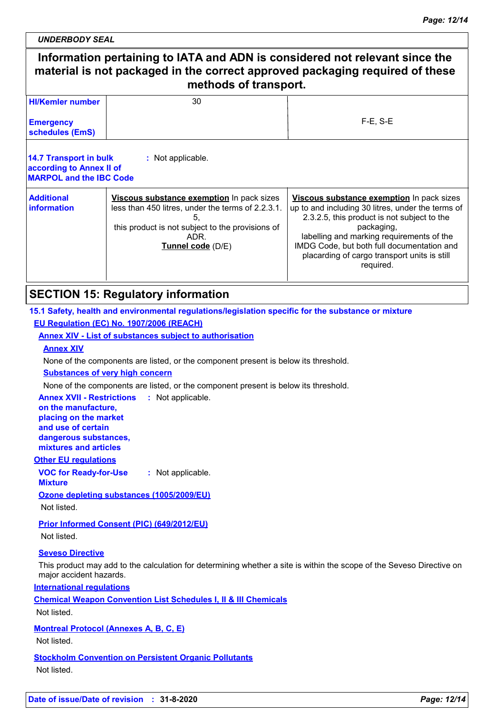*UNDERBODY SEAL*

# **Information pertaining to IATA and ADN is considered not relevant since the material is not packaged in the correct approved packaging required of these methods of transport.**

| <b>HI/Kemler number</b>                                                              | 30                                                                                                                                                                                    |                                                                                                                                                                                                                                                                                                                     |
|--------------------------------------------------------------------------------------|---------------------------------------------------------------------------------------------------------------------------------------------------------------------------------------|---------------------------------------------------------------------------------------------------------------------------------------------------------------------------------------------------------------------------------------------------------------------------------------------------------------------|
| <b>Emergency</b><br>schedules (EmS)                                                  |                                                                                                                                                                                       | $F-E$ , S-E                                                                                                                                                                                                                                                                                                         |
| 14.7 Transport in bulk<br>according to Annex II of<br><b>MARPOL and the IBC Code</b> | : Not applicable.                                                                                                                                                                     |                                                                                                                                                                                                                                                                                                                     |
| <b>Additional</b><br><i>information</i>                                              | Viscous substance exemption In pack sizes<br>less than 450 litres, under the terms of 2.2.3.1.<br>5.<br>this product is not subject to the provisions of<br>ADR.<br>Tunnel code (D/E) | Viscous substance exemption In pack sizes<br>up to and including 30 litres, under the terms of<br>2.3.2.5, this product is not subject to the<br>packaging,<br>labelling and marking requirements of the<br>IMDG Code, but both full documentation and<br>placarding of cargo transport units is still<br>required. |

### **SECTION 15: Regulatory information**

### **15.1 Safety, health and environmental regulations/legislation specific for the substance or mixture EU Regulation (EC) No. 1907/2006 (REACH)**

### **Annex XIV - List of substances subject to authorisation**

#### **Annex XIV**

None of the components are listed, or the component present is below its threshold.

### **Substances of very high concern**

None of the components are listed, or the component present is below its threshold.

#### **Annex XVII - Restrictions :** Not applicable. **on the manufacture, placing on the market**

**and use of certain dangerous substances,**

### **mixtures and articles**

### **Other EU regulations**

**VOC for Ready-for-Use :** Not applicable.

### **Mixture**

**Ozone depleting substances (1005/2009/EU)**

Not listed.

**Prior Informed Consent (PIC) (649/2012/EU)** Not listed.

### **Seveso Directive**

This product may add to the calculation for determining whether a site is within the scope of the Seveso Directive on major accident hazards.

**International regulations**

**Chemical Weapon Convention List Schedules I, II & III Chemicals**

Not listed.

**Montreal Protocol (Annexes A, B, C, E)**

Not listed.

**Stockholm Convention on Persistent Organic Pollutants** Not listed.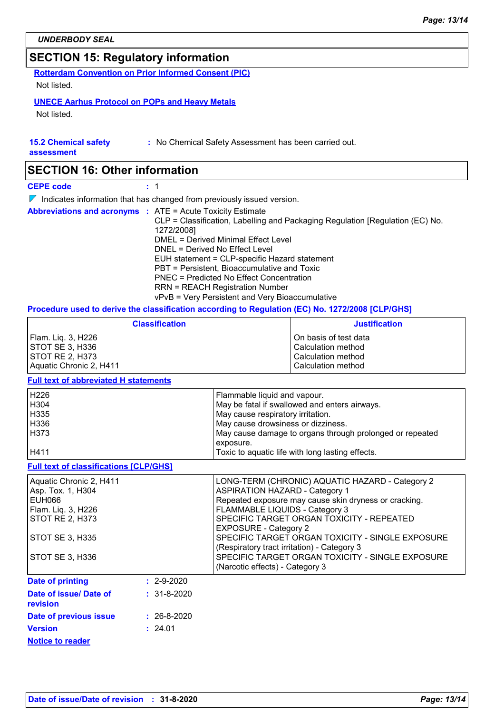### **SECTION 15: Regulatory information**

**Rotterdam Convention on Prior Informed Consent (PIC)**

Not listed.

### **UNECE Aarhus Protocol on POPs and Heavy Metals**

Not listed.

### **15.2 Chemical safety**

**:** No Chemical Safety Assessment has been carried out.

**assessment**

### **SECTION 16: Other information**

**CEPE code :** 1

 $\nabla$  Indicates information that has changed from previously issued version.

|  | <b>Abbreviations and acronyms : ATE = Acute Toxicity Estimate</b>             |
|--|-------------------------------------------------------------------------------|
|  | CLP = Classification, Labelling and Packaging Regulation [Regulation (EC) No. |
|  | 1272/2008]                                                                    |
|  | DMEL = Derived Minimal Effect Level                                           |
|  | DNEL = Derived No Effect Level                                                |
|  | EUH statement = CLP-specific Hazard statement                                 |
|  | PBT = Persistent, Bioaccumulative and Toxic                                   |
|  | PNEC = Predicted No Effect Concentration                                      |
|  | <b>RRN = REACH Registration Number</b>                                        |
|  | vPvB = Very Persistent and Very Bioaccumulative                               |

### **Procedure used to derive the classification according to Regulation (EC) No. 1272/2008 [CLP/GHS]**

| <b>Classification</b>   | <b>Justification</b>  |
|-------------------------|-----------------------|
| Flam. Liq. 3, H226      | On basis of test data |
| ISTOT SE 3. H336        | Calculation method    |
| <b>ISTOT RE 2. H373</b> | Calculation method    |
| Aquatic Chronic 2, H411 | Calculation method    |

### **Full text of abbreviated H statements**

| H226 | Flammable liquid and vapour.                             |
|------|----------------------------------------------------------|
| H304 | May be fatal if swallowed and enters airways.            |
| H335 | May cause respiratory irritation.                        |
| H336 | May cause drowsiness or dizziness.                       |
| H373 | May cause damage to organs through prolonged or repeated |
|      | exposure.                                                |
| H411 | Toxic to aquatic life with long lasting effects.         |

#### **Full text of classifications [CLP/GHS]**

| Aquatic Chronic 2, H411<br>Asp. Tox. 1, H304 |                   | LONG-TERM (CHRONIC) AQUATIC HAZARD - Category 2<br><b>ASPIRATION HAZARD - Category 1</b>        |
|----------------------------------------------|-------------------|-------------------------------------------------------------------------------------------------|
| EUH066                                       |                   | Repeated exposure may cause skin dryness or cracking.                                           |
| Flam. Liq. 3, H226                           |                   | FLAMMABLE LIQUIDS - Category 3                                                                  |
| <b>STOT RE 2, H373</b>                       |                   | SPECIFIC TARGET ORGAN TOXICITY - REPEATED<br><b>EXPOSURE - Category 2</b>                       |
| STOT SE 3, H335                              |                   | SPECIFIC TARGET ORGAN TOXICITY - SINGLE EXPOSURE<br>(Respiratory tract irritation) - Category 3 |
| STOT SE 3, H336                              |                   | SPECIFIC TARGET ORGAN TOXICITY - SINGLE EXPOSURE<br>(Narcotic effects) - Category 3             |
| <b>Date of printing</b>                      | $: 2 - 9 - 2020$  |                                                                                                 |
| Date of issue/ Date of<br>revision           | $: 31 - 8 - 2020$ |                                                                                                 |
| Date of previous issue                       | $: 26 - 8 - 2020$ |                                                                                                 |

**Notice to reader Version**

24.01 **:**